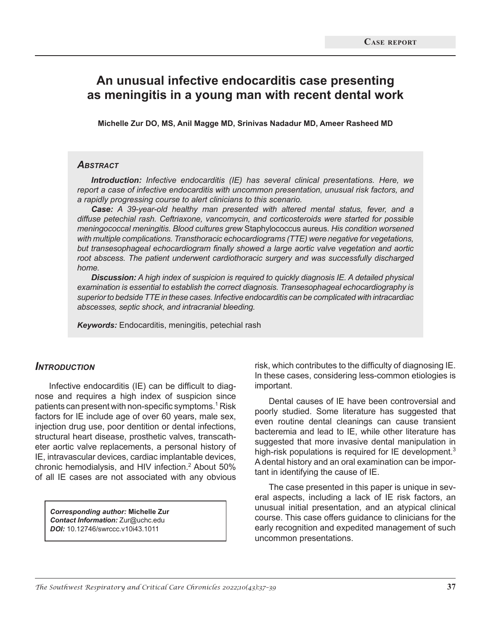# **An unusual infective endocarditis case presenting as meningitis in a young man with recent dental work**

**Michelle Zur DO, MS, Anil Magge MD, Srinivas Nadadur MD, Ameer Rasheed MD**

### *Abstract*

*Introduction: Infective endocarditis (IE) has several clinical presentations. Here, we report a case of infective endocarditis with uncommon presentation, unusual risk factors, and a rapidly progressing course to alert clinicians to this scenario.*

*Case: A 39-year-old healthy man presented with altered mental status, fever, and a diffuse petechial rash. Ceftriaxone, vancomycin, and corticosteroids were started for possible meningococcal meningitis. Blood cultures grew* Staphylococcus aureus*. His condition worsened with multiple complications. Transthoracic echocardiograms (TTE) were negative for vegetations, but transesophageal echocardiogram finally showed a large aortic valve vegetation and aortic root abscess. The patient underwent cardiothoracic surgery and was successfully discharged home.*

*Discussion: A high index of suspicion is required to quickly diagnosis IE. A detailed physical examination is essential to establish the correct diagnosis. Transesophageal echocardiography is superior to bedside TTE in these cases. Infective endocarditis can be complicated with intracardiac abscesses, septic shock, and intracranial bleeding.*

*Keywords:* Endocarditis, meningitis, petechial rash

### *Introduction*

Infective endocarditis (IE) can be difficult to diagnose and requires a high index of suspicion since patients can present with non-specific symptoms.<sup>1</sup> Risk factors for IE include age of over 60 years, male sex, injection drug use, poor dentition or dental infections, structural heart disease, prosthetic valves, transcatheter aortic valve replacements, a personal history of IE, intravascular devices, cardiac implantable devices, chronic hemodialysis, and HIV infection.<sup>2</sup> About 50% of all IE cases are not associated with any obvious

*Corresponding author:* **Michelle Zur**  *Contact Information:* Zur@uchc.edu *DOI:* 10.12746/swrccc.v10i43.1011

risk, which contributes to the difficulty of diagnosing IE. In these cases, considering less-common etiologies is important.

Dental causes of IE have been controversial and poorly studied. Some literature has suggested that even routine dental cleanings can cause transient bacteremia and lead to IE, while other literature has suggested that more invasive dental manipulation in high-risk populations is required for IE development.<sup>3</sup> A dental history and an oral examination can be important in identifying the cause of IE.

The case presented in this paper is unique in several aspects, including a lack of IE risk factors, an unusual initial presentation, and an atypical clinical course. This case offers guidance to clinicians for the early recognition and expedited management of such uncommon presentations.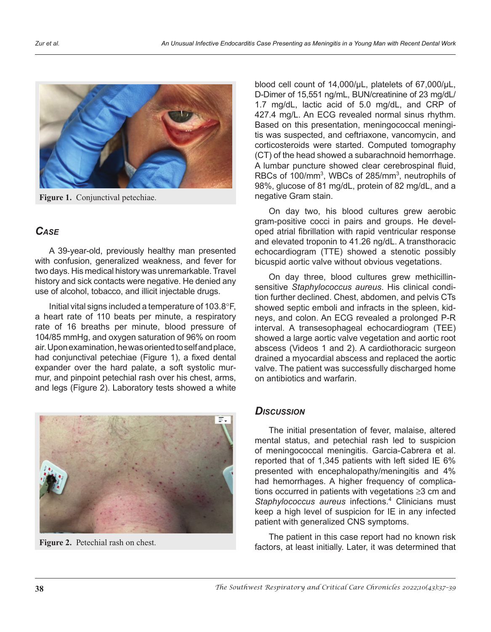

**Figure 1.** Conjunctival petechiae.

# *Case*

A 39-year-old, previously healthy man presented with confusion, generalized weakness, and fever for two days. His medical history was unremarkable. Travel history and sick contacts were negative. He denied any use of alcohol, tobacco, and illicit injectable drugs.

Initial vital signs included a temperature of 103.8°F, a heart rate of 110 beats per minute, a respiratory rate of 16 breaths per minute, blood pressure of 104/85 mmHg, and oxygen saturation of 96% on room air. Upon examination, he was oriented to self and place, had conjunctival petechiae (Figure 1), a fixed dental expander over the hard palate, a soft systolic murmur, and pinpoint petechial rash over his chest, arms, and legs (Figure 2). Laboratory tests showed a white



**Figure 2.** Petechial rash on chest.

blood cell count of 14,000/µL, platelets of 67,000/µL, D-Dimer of 15,551 ng/mL, BUN/creatinine of 23 mg/dL/ 1.7 mg/dL, lactic acid of 5.0 mg/dL, and CRP of 427.4 mg/L. An ECG revealed normal sinus rhythm. Based on this presentation, meningococcal meningitis was suspected, and ceftriaxone, vancomycin, and corticosteroids were started. Computed tomography (CT) of the head showed a subarachnoid hemorrhage. A lumbar puncture showed clear cerebrospinal fluid, RBCs of 100/mm<sup>3</sup>, WBCs of 285/mm<sup>3</sup>, neutrophils of 98%, glucose of 81 mg/dL, protein of 82 mg/dL, and a negative Gram stain.

On day two, his blood cultures grew aerobic gram-positive cocci in pairs and groups. He developed atrial fibrillation with rapid ventricular response and elevated troponin to 41.26 ng/dL. A transthoracic echocardiogram (TTE) showed a stenotic possibly bicuspid aortic valve without obvious vegetations.

On day three, blood cultures grew methicillinsensitive *Staphylococcus aureus*. His clinical condition further declined. Chest, abdomen, and pelvis CTs showed septic emboli and infracts in the spleen, kidneys, and colon. An ECG revealed a prolonged P-R interval. A transesophageal echocardiogram (TEE) showed a large aortic valve vegetation and aortic root abscess (Videos 1 and 2). A cardiothoracic surgeon drained a myocardial abscess and replaced the aortic valve. The patient was successfully discharged home on antibiotics and warfarin.

## *Discussion*

The initial presentation of fever, malaise, altered mental status, and petechial rash led to suspicion of meningococcal meningitis. Garcia-Cabrera et al. reported that of 1,345 patients with left sided IE 6% presented with encephalopathy/meningitis and 4% had hemorrhages. A higher frequency of complications occurred in patients with vegetations ≥3 cm and Staphylococcus aureus infections.<sup>4</sup> Clinicians must keep a high level of suspicion for IE in any infected patient with generalized CNS symptoms.

The patient in this case report had no known risk factors, at least initially. Later, it was determined that